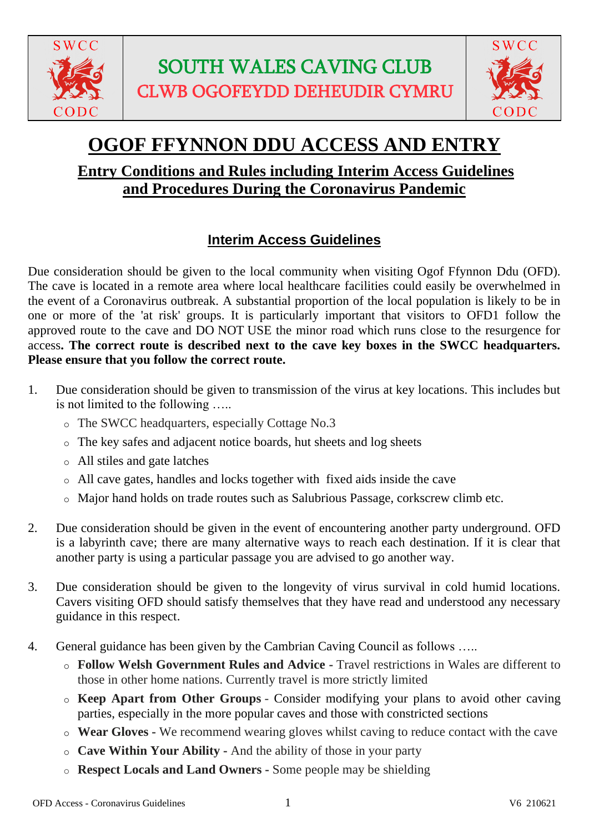



# **OGOF FFYNNON DDU ACCESS AND ENTRY**

## **Entry Conditions and Rules including Interim Access Guidelines and Procedures During the Coronavirus Pandemic**

## **Interim Access Guidelines**

Due consideration should be given to the local community when visiting Ogof Ffynnon Ddu (OFD). The cave is located in a remote area where local healthcare facilities could easily be overwhelmed in the event of a Coronavirus outbreak. A substantial proportion of the local population is likely to be in one or more of the 'at risk' groups. It is particularly important that visitors to OFD1 follow the approved route to the cave and DO NOT USE the minor road which runs close to the resurgence for access**. The correct route is described next to the cave key boxes in the SWCC headquarters. Please ensure that you follow the correct route.**

- 1. Due consideration should be given to transmission of the virus at key locations. This includes but is not limited to the following …..
	- o The SWCC headquarters, especially Cottage No.3
	- o The key safes and adjacent notice boards, hut sheets and log sheets
	- o All stiles and gate latches
	- o All cave gates, handles and locks together with fixed aids inside the cave
	- o Major hand holds on trade routes such as Salubrious Passage, corkscrew climb etc.
- 2. Due consideration should be given in the event of encountering another party underground. OFD is a labyrinth cave; there are many alternative ways to reach each destination. If it is clear that another party is using a particular passage you are advised to go another way.
- 3. Due consideration should be given to the longevity of virus survival in cold humid locations. Cavers visiting OFD should satisfy themselves that they have read and understood any necessary guidance in this respect.
- 4. General guidance has been given by the Cambrian Caving Council as follows …..
	- o **Follow Welsh Government Rules and Advice -** Travel restrictions in Wales are different to those in other home nations. Currently travel is more strictly limited
	- o **Keep Apart from Other Groups** Consider modifying your plans to avoid other caving parties, especially in the more popular caves and those with constricted sections
	- o **Wear Gloves -** We recommend wearing gloves whilst caving to reduce contact with the cave
	- o **Cave Within Your Ability -** And the ability of those in your party
	- o **Respect Locals and Land Owners -** Some people may be shielding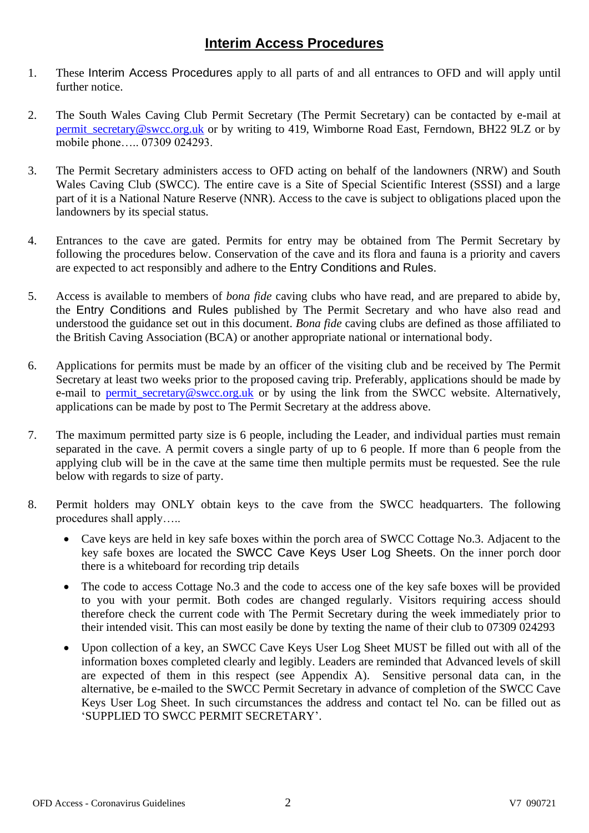#### **Interim Access Procedures**

- 1. These Interim Access Procedures apply to all parts of and all entrances to OFD and will apply until further notice.
- 2. The South Wales Caving Club Permit Secretary (The Permit Secretary) can be contacted by e-mail at [permit\\_secretary@swcc.org.uk](mailto:permit_secretary@swcc.org.uk) or by writing to 419, Wimborne Road East, Ferndown, BH22 9LZ or by mobile phone….. 07309 024293.
- 3. The Permit Secretary administers access to OFD acting on behalf of the landowners (NRW) and South Wales Caving Club (SWCC). The entire cave is a Site of Special Scientific Interest (SSSI) and a large part of it is a National Nature Reserve (NNR). Access to the cave is subject to obligations placed upon the landowners by its special status.
- 4. Entrances to the cave are gated. Permits for entry may be obtained from The Permit Secretary by following the procedures below. Conservation of the cave and its flora and fauna is a priority and cavers are expected to act responsibly and adhere to the Entry Conditions and Rules.
- 5. Access is available to members of *bona fide* caving clubs who have read, and are prepared to abide by, the Entry Conditions and Rules published by The Permit Secretary and who have also read and understood the guidance set out in this document. *Bona fide* caving clubs are defined as those affiliated to the British Caving Association (BCA) or another appropriate national or international body.
- 6. Applications for permits must be made by an officer of the visiting club and be received by The Permit Secretary at least two weeks prior to the proposed caving trip. Preferably, applications should be made by e-mail to [permit\\_secretary@swcc.org.uk](mailto:permit_secretary@swcc.org.uk) or by using the link from the SWCC website. Alternatively, applications can be made by post to The Permit Secretary at the address above.
- 7. The maximum permitted party size is 6 people, including the Leader, and individual parties must remain separated in the cave. A permit covers a single party of up to 6 people. If more than 6 people from the applying club will be in the cave at the same time then multiple permits must be requested. See the rule below with regards to size of party.
- 8. Permit holders may ONLY obtain keys to the cave from the SWCC headquarters. The following procedures shall apply…..
	- Cave keys are held in key safe boxes within the porch area of SWCC Cottage No.3. Adjacent to the key safe boxes are located the SWCC Cave Keys User Log Sheets. On the inner porch door there is a whiteboard for recording trip details
	- The code to access Cottage No.3 and the code to access one of the key safe boxes will be provided to you with your permit. Both codes are changed regularly. Visitors requiring access should therefore check the current code with The Permit Secretary during the week immediately prior to their intended visit. This can most easily be done by texting the name of their club to 07309 024293
	- Upon collection of a key, an SWCC Cave Keys User Log Sheet MUST be filled out with all of the information boxes completed clearly and legibly. Leaders are reminded that Advanced levels of skill are expected of them in this respect (see Appendix A). Sensitive personal data can, in the alternative, be e-mailed to the SWCC Permit Secretary in advance of completion of the SWCC Cave Keys User Log Sheet. In such circumstances the address and contact tel No. can be filled out as 'SUPPLIED TO SWCC PERMIT SECRETARY'.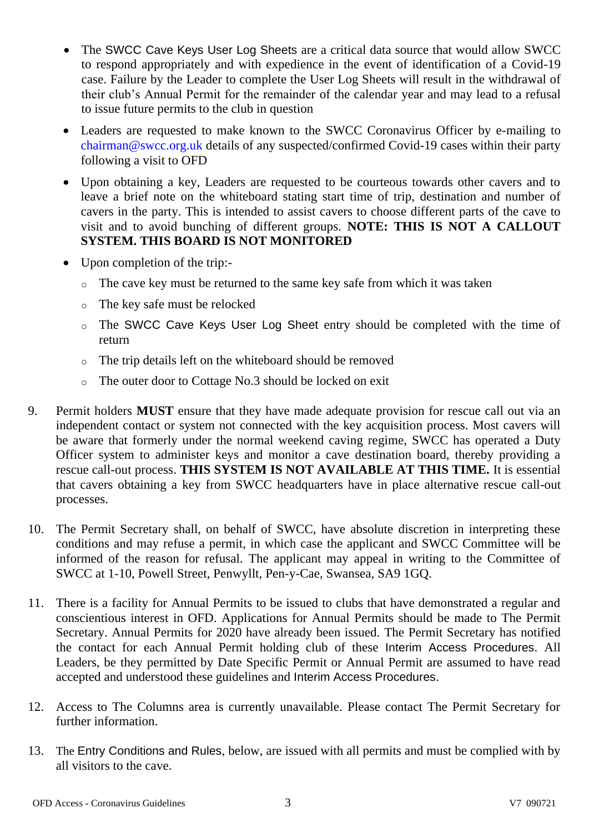- The SWCC Cave Keys User Log Sheets are a critical data source that would allow SWCC to respond appropriately and with expedience in the event of identification of a Covid-19 case. Failure by the Leader to complete the User Log Sheets will result in the withdrawal of their club's Annual Permit for the remainder of the calendar year and may lead to a refusal to issue future permits to the club in question
- Leaders are requested to make known to the SWCC Coronavirus Officer by e-mailing to chairman@swcc.org.uk details of any suspected/confirmed Covid-19 cases within their party following a visit to OFD
- Upon obtaining a key, Leaders are requested to be courteous towards other cavers and to leave a brief note on the whiteboard stating start time of trip, destination and number of cavers in the party. This is intended to assist cavers to choose different parts of the cave to visit and to avoid bunching of different groups. **NOTE: THIS IS NOT A CALLOUT SYSTEM. THIS BOARD IS NOT MONITORED**
- Upon completion of the trip:
	- o The cave key must be returned to the same key safe from which it was taken
	- o The key safe must be relocked
	- o The SWCC Cave Keys User Log Sheet entry should be completed with the time of return
	- o The trip details left on the whiteboard should be removed
	- o The outer door to Cottage No.3 should be locked on exit
- 9. Permit holders **MUST** ensure that they have made adequate provision for rescue call out via an independent contact or system not connected with the key acquisition process. Most cavers will be aware that formerly under the normal weekend caving regime, SWCC has operated a Duty Officer system to administer keys and monitor a cave destination board, thereby providing a rescue call-out process. **THIS SYSTEM IS NOT AVAILABLE AT THIS TIME.** It is essential that cavers obtaining a key from SWCC headquarters have in place alternative rescue call-out processes.
- 10. The Permit Secretary shall, on behalf of SWCC, have absolute discretion in interpreting these conditions and may refuse a permit, in which case the applicant and SWCC Committee will be informed of the reason for refusal. The applicant may appeal in writing to the Committee of SWCC at 1-10, Powell Street, Penwyllt, Pen-y-Cae, Swansea, SA9 1GQ.
- 11. There is a facility for Annual Permits to be issued to clubs that have demonstrated a regular and conscientious interest in OFD. Applications for Annual Permits should be made to The Permit Secretary. Annual Permits for 2020 have already been issued. The Permit Secretary has notified the contact for each Annual Permit holding club of these Interim Access Procedures. All Leaders, be they permitted by Date Specific Permit or Annual Permit are assumed to have read accepted and understood these guidelines and Interim Access Procedures.
- 12. Access to The Columns area is currently unavailable. Please contact The Permit Secretary for further information.
- 13. The Entry Conditions and Rules, below, are issued with all permits and must be complied with by all visitors to the cave.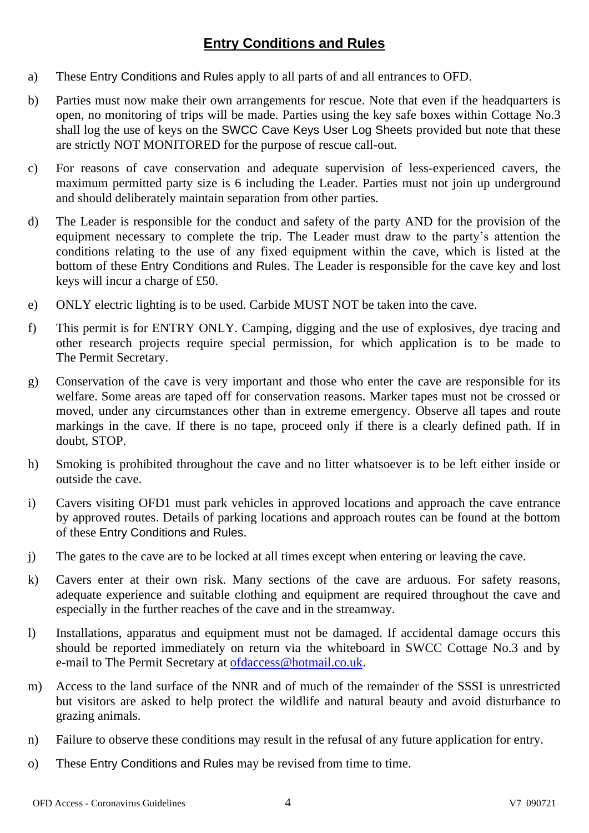#### **Entry Conditions and Rules**

- a) These Entry Conditions and Rules apply to all parts of and all entrances to OFD.
- b) Parties must now make their own arrangements for rescue. Note that even if the headquarters is open, no monitoring of trips will be made. Parties using the key safe boxes within Cottage No.3 shall log the use of keys on the SWCC Cave Keys User Log Sheets provided but note that these are strictly NOT MONITORED for the purpose of rescue call-out.
- c) For reasons of cave conservation and adequate supervision of less-experienced cavers, the maximum permitted party size is 6 including the Leader. Parties must not join up underground and should deliberately maintain separation from other parties.
- d) The Leader is responsible for the conduct and safety of the party AND for the provision of the equipment necessary to complete the trip. The Leader must draw to the party's attention the conditions relating to the use of any fixed equipment within the cave, which is listed at the bottom of these Entry Conditions and Rules. The Leader is responsible for the cave key and lost keys will incur a charge of £50.
- e) ONLY electric lighting is to be used. Carbide MUST NOT be taken into the cave.
- f) This permit is for ENTRY ONLY. Camping, digging and the use of explosives, dye tracing and other research projects require special permission, for which application is to be made to The Permit Secretary.
- g) Conservation of the cave is very important and those who enter the cave are responsible for its welfare. Some areas are taped off for conservation reasons. Marker tapes must not be crossed or moved, under any circumstances other than in extreme emergency. Observe all tapes and route markings in the cave. If there is no tape, proceed only if there is a clearly defined path. If in doubt, STOP.
- h) Smoking is prohibited throughout the cave and no litter whatsoever is to be left either inside or outside the cave.
- i) Cavers visiting OFD1 must park vehicles in approved locations and approach the cave entrance by approved routes. Details of parking locations and approach routes can be found at the bottom of these Entry Conditions and Rules.
- j) The gates to the cave are to be locked at all times except when entering or leaving the cave.
- k) Cavers enter at their own risk. Many sections of the cave are arduous. For safety reasons, adequate experience and suitable clothing and equipment are required throughout the cave and especially in the further reaches of the cave and in the streamway.
- l) Installations, apparatus and equipment must not be damaged. If accidental damage occurs this should be reported immediately on return via the whiteboard in SWCC Cottage No.3 and by e-mail to The Permit Secretary at [ofdaccess@hotmail.co.uk.](mailto:ofdaccess@hotmail.co.uk)
- m) Access to the land surface of the NNR and of much of the remainder of the SSSI is unrestricted but visitors are asked to help protect the wildlife and natural beauty and avoid disturbance to grazing animals.
- n) Failure to observe these conditions may result in the refusal of any future application for entry.
- o) These Entry Conditions and Rules may be revised from time to time.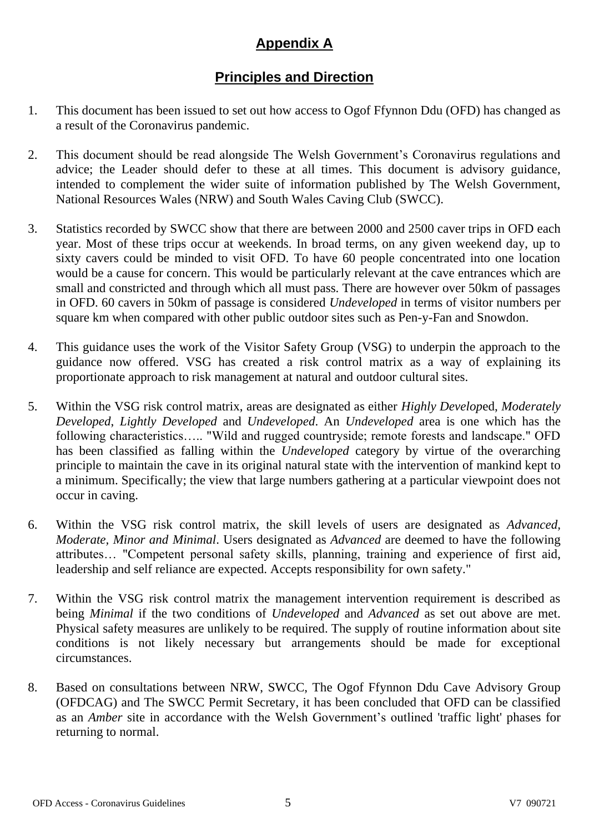### **Appendix A**

#### **Principles and Direction**

- 1. This document has been issued to set out how access to Ogof Ffynnon Ddu (OFD) has changed as a result of the Coronavirus pandemic.
- 2. This document should be read alongside The Welsh Government's Coronavirus regulations and advice; the Leader should defer to these at all times. This document is advisory guidance, intended to complement the wider suite of information published by The Welsh Government, National Resources Wales (NRW) and South Wales Caving Club (SWCC).
- 3. Statistics recorded by SWCC show that there are between 2000 and 2500 caver trips in OFD each year. Most of these trips occur at weekends. In broad terms, on any given weekend day, up to sixty cavers could be minded to visit OFD. To have 60 people concentrated into one location would be a cause for concern. This would be particularly relevant at the cave entrances which are small and constricted and through which all must pass. There are however over 50km of passages in OFD. 60 cavers in 50km of passage is considered *Undeveloped* in terms of visitor numbers per square km when compared with other public outdoor sites such as Pen-y-Fan and Snowdon.
- 4. This guidance uses the work of the Visitor Safety Group (VSG) to underpin the approach to the guidance now offered. VSG has created a risk control matrix as a way of explaining its proportionate approach to risk management at natural and outdoor cultural sites.
- 5. Within the VSG risk control matrix, areas are designated as either *Highly Develop*ed, *Moderately Developed*, *Lightly Developed* and *Undeveloped*. An *Undeveloped* area is one which has the following characteristics….. "Wild and rugged countryside; remote forests and landscape." OFD has been classified as falling within the *Undeveloped* category by virtue of the overarching principle to maintain the cave in its original natural state with the intervention of mankind kept to a minimum. Specifically; the view that large numbers gathering at a particular viewpoint does not occur in caving.
- 6. Within the VSG risk control matrix, the skill levels of users are designated as *Advanced, Moderate, Minor and Minimal*. Users designated as *Advanced* are deemed to have the following attributes… "Competent personal safety skills, planning, training and experience of first aid, leadership and self reliance are expected. Accepts responsibility for own safety."
- 7. Within the VSG risk control matrix the management intervention requirement is described as being *Minimal* if the two conditions of *Undeveloped* and *Advanced* as set out above are met. Physical safety measures are unlikely to be required. The supply of routine information about site conditions is not likely necessary but arrangements should be made for exceptional circumstances.
- 8. Based on consultations between NRW, SWCC, The Ogof Ffynnon Ddu Cave Advisory Group (OFDCAG) and The SWCC Permit Secretary, it has been concluded that OFD can be classified as an *Amber* site in accordance with the Welsh Government's outlined 'traffic light' phases for returning to normal.